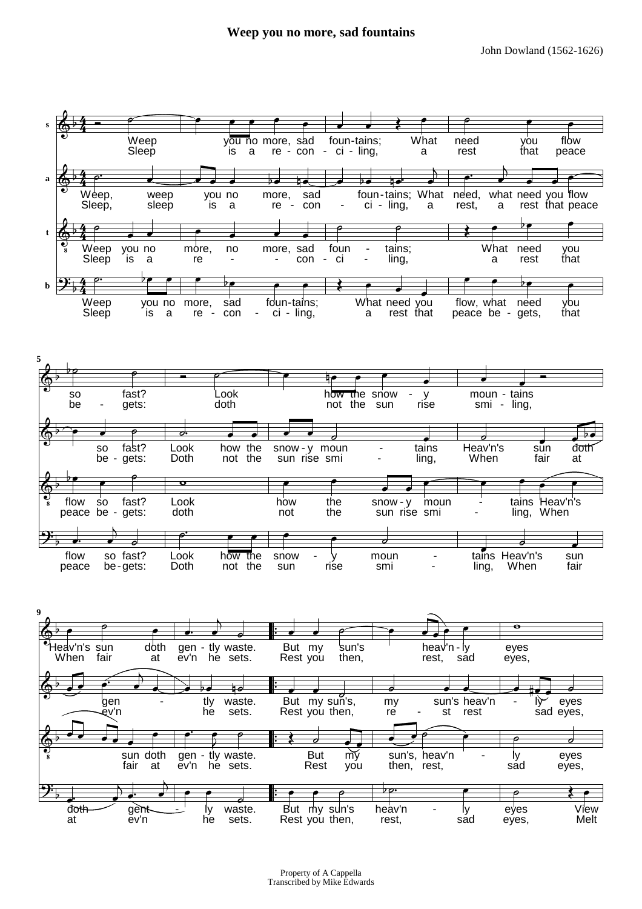